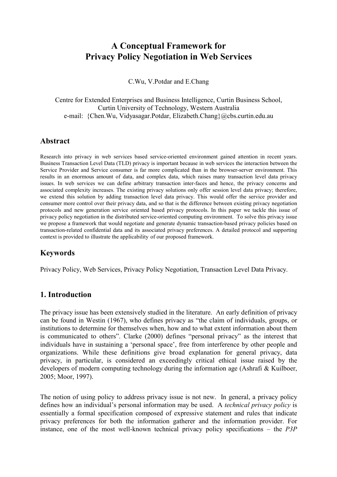# **A Conceptual Framework for Privacy Policy Negotiation in Web Services**

C.Wu, V.Potdar and E.Chang

Centre for Extended Enterprises and Business Intelligence, Curtin Business School, Curtin University of Technology, Western Australia e-mail: {Chen.Wu, Vidyasagar.Potdar, Elizabeth.Chang}@cbs.curtin.edu.au

### **Abstract**

Research into privacy in web services based service-oriented environment gained attention in recent years. Business Transaction Level Data (TLD) privacy is important because in web services the interaction between the Service Provider and Service consumer is far more complicated than in the browser-server environment. This results in an enormous amount of data, and complex data, which raises many transaction level data privacy issues. In web services we can define arbitrary transaction inter-faces and hence, the privacy concerns and associated complexity increases. The existing privacy solutions only offer session level data privacy; therefore, we extend this solution by adding transaction level data privacy. This would offer the service provider and consumer more control over their privacy data, and so that is the difference between existing privacy negotiation protocols and new generation service oriented based privacy protocols. In this paper we tackle this issue of privacy policy negotiation in the distributed service-oriented computing environment. To solve this privacy issue we propose a framework that would negotiate and generate dynamic transaction-based privacy policies based on transaction-related confidential data and its associated privacy preferences. A detailed protocol and supporting context is provided to illustrate the applicability of our proposed framework.

# **Keywords**

Privacy Policy, Web Services, Privacy Policy Negotiation, Transaction Level Data Privacy.

# **1. Introduction**

The privacy issue has been extensively studied in the literature. An early definition of privacy can be found in Westin (1967), who defines privacy as "the claim of individuals, groups, or institutions to determine for themselves when, how and to what extent information about them is communicated to others". Clarke (2000) defines "personal privacy" as the interest that individuals have in sustaining a 'personal space', free from interference by other people and organizations. While these definitions give broad explanation for general privacy, data privacy, in particular, is considered an exceedingly critical ethical issue raised by the developers of modern computing technology during the information age (Ashrafi & Kuilboer, 2005; Moor, 1997).

The notion of using policy to address privacy issue is not new. In general, a privacy policy defines how an individual's personal information may be used. A *technical privacy policy* is essentially a formal specification composed of expressive statement and rules that indicate privacy preferences for both the information gatherer and the information provider. For instance, one of the most well-known technical privacy policy specifications – the *P3P*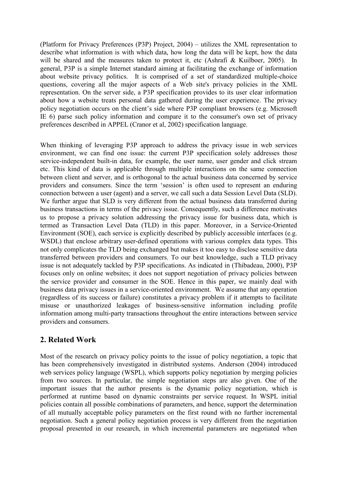(Platform for Privacy Preferences (P3P) Project, 2004) – utilizes the XML representation to describe what information is with which data, how long the data will be kept, how the data will be shared and the measures taken to protect it, etc (Ashrafi & Kuilboer, 2005). In general, P3P is a simple Internet standard aiming at facilitating the exchange of information about website privacy politics. It is comprised of a set of standardized multiple-choice questions, covering all the major aspects of a Web site's privacy policies in the XML representation. On the server side, a P3P specification provides to its user clear information about how a website treats personal data gathered during the user experience. The privacy policy negotiation occurs on the client's side where P3P compliant browsers (e.g. Microsoft IE 6) parse such policy information and compare it to the consumer's own set of privacy preferences described in APPEL (Cranor et al, 2002) specification language.

When thinking of leveraging P3P approach to address the privacy issue in web services environment, we can find one issue: the current P3P specification solely addresses those service-independent built-in data, for example, the user name, user gender and click stream etc. This kind of data is applicable through multiple interactions on the same connection between client and server, and is orthogonal to the actual business data concerned by service providers and consumers. Since the term 'session' is often used to represent an enduring connection between a user (agent) and a server, we call such a data Session Level Data (SLD). We further argue that SLD is very different from the actual business data transferred during business transactions in terms of the privacy issue. Consequently, such a difference motivates us to propose a privacy solution addressing the privacy issue for business data, which is termed as Transaction Level Data (TLD) in this paper. Moreover, in a Service-Oriented Environment (SOE), each service is explicitly described by publicly accessible interfaces (e.g. WSDL) that enclose arbitrary user-defined operations with various complex data types. This not only complicates the TLD being exchanged but makes it too easy to disclose sensitive data transferred between providers and consumers. To our best knowledge, such a TLD privacy issue is not adequately tackled by P3P specifications. As indicated in (Thibadeau, 2000), P3P focuses only on online websites; it does not support negotiation of privacy policies between the service provider and consumer in the SOE. Hence in this paper, we mainly deal with business data privacy issues in a service-oriented environment. We assume that any operation (regardless of its success or failure) constitutes a privacy problem if it attempts to facilitate misuse or unauthorized leakages of business-sensitive information including profile information among multi-party transactions throughout the entire interactions between service providers and consumers.

# **2. Related Work**

Most of the research on privacy policy points to the issue of policy negotiation, a topic that has been comprehensively investigated in distributed systems. Anderson (2004) introduced web services policy language (WSPL), which supports policy negotiation by merging policies from two sources. In particular, the simple negotiation steps are also given. One of the important issues that the author presents is the dynamic policy negotiation, which is performed at runtime based on dynamic constraints per service request. In WSPL initial policies contain all possible combinations of parameters, and hence, support the determination of all mutually acceptable policy parameters on the first round with no further incremental negotiation. Such a general policy negotiation process is very different from the negotiation proposal presented in our research, in which incremental parameters are negotiated when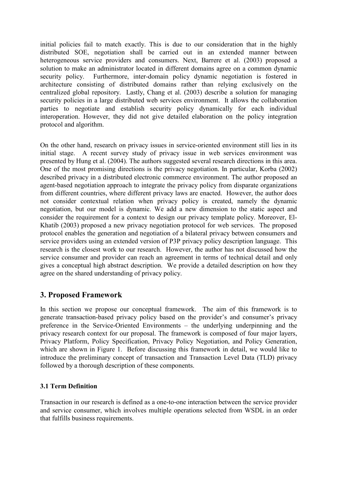initial policies fail to match exactly. This is due to our consideration that in the highly distributed SOE, negotiation shall be carried out in an extended manner between heterogeneous service providers and consumers. Next, Barrere et al. (2003) proposed a solution to make an administrator located in different domains agree on a common dynamic security policy. Furthermore, inter-domain policy dynamic negotiation is fostered in architecture consisting of distributed domains rather than relying exclusively on the centralized global repository. Lastly, Chang et al. (2003) describe a solution for managing security policies in a large distributed web services environment. It allows the collaboration parties to negotiate and establish security policy dynamically for each individual interoperation. However, they did not give detailed elaboration on the policy integration protocol and algorithm.

On the other hand, research on privacy issues in service-oriented environment still lies in its initial stage. A recent survey study of privacy issue in web services environment was presented by Hung et al. (2004). The authors suggested several research directions in this area. One of the most promising directions is the privacy negotiation. In particular, Korba (2002) described privacy in a distributed electronic commerce environment. The author proposed an agent-based negotiation approach to integrate the privacy policy from disparate organizations from different countries, where different privacy laws are enacted. However, the author does not consider contextual relation when privacy policy is created, namely the dynamic negotiation, but our model is dynamic. We add a new dimension to the static aspect and consider the requirement for a context to design our privacy template policy. Moreover, El-Khatib (2003) proposed a new privacy negotiation protocol for web services. The proposed protocol enables the generation and negotiation of a bilateral privacy between consumers and service providers using an extended version of P3P privacy policy description language. This research is the closest work to our research. However, the author has not discussed how the service consumer and provider can reach an agreement in terms of technical detail and only gives a conceptual high abstract description. We provide a detailed description on how they agree on the shared understanding of privacy policy.

# **3. Proposed Framework**

In this section we propose our conceptual framework. The aim of this framework is to generate transaction-based privacy policy based on the provider's and consumer's privacy preference in the Service-Oriented Environments – the underlying underpinning and the privacy research context for our proposal. The framework is composed of four major layers, Privacy Platform, Policy Specification, Privacy Policy Negotiation, and Policy Generation, which are shown in Figure 1. Before discussing this framework in detail, we would like to introduce the preliminary concept of transaction and Transaction Level Data (TLD) privacy followed by a thorough description of these components.

#### **3.1 Term Definition**

Transaction in our research is defined as a one-to-one interaction between the service provider and service consumer, which involves multiple operations selected from WSDL in an order that fulfills business requirements.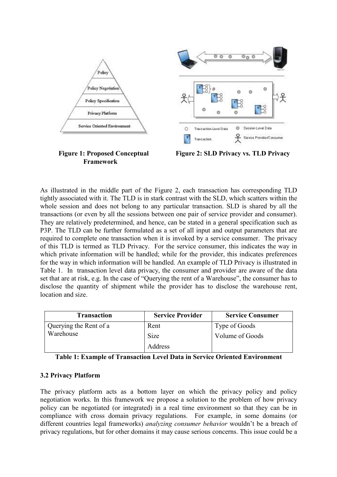

As illustrated in the middle part of the Figure 2, each transaction has corresponding TLD tightly associated with it. The TLD is in stark contrast with the SLD, which scatters within the whole session and does not belong to any particular transaction. SLD is shared by all the transactions (or even by all the sessions between one pair of service provider and consumer). They are relatively predetermined, and hence, can be stated in a general specification such as P3P. The TLD can be further formulated as a set of all input and output parameters that are required to complete one transaction when it is invoked by a service consumer. The privacy of this TLD is termed as TLD Privacy. For the service consumer, this indicates the way in which private information will be handled; while for the provider, this indicates preferences for the way in which information will be handled. An example of TLD Privacy is illustrated in Table 1. In transaction level data privacy, the consumer and provider are aware of the data set that are at risk, e.g. In the case of "Querying the rent of a Warehouse", the consumer has to disclose the quantity of shipment while the provider has to disclose the warehouse rent, location and size.

| <b>Transaction</b>     | <b>Service Provider</b> | <b>Service Consumer</b> |
|------------------------|-------------------------|-------------------------|
| Querying the Rent of a | Rent                    | Type of Goods           |
| Warehouse              | Size                    | Volume of Goods         |
|                        | Address                 |                         |

|  |  |  |  |  |  | Table 1: Example of Transaction Level Data in Service Oriented Environment |
|--|--|--|--|--|--|----------------------------------------------------------------------------|
|--|--|--|--|--|--|----------------------------------------------------------------------------|

#### **3.2 Privacy Platform**

**Framework** 

The privacy platform acts as a bottom layer on which the privacy policy and policy negotiation works. In this framework we propose a solution to the problem of how privacy policy can be negotiated (or integrated) in a real time environment so that they can be in compliance with cross domain privacy regulations. For example, in some domains (or different countries legal frameworks) *analyzing consumer behavior* wouldn't be a breach of privacy regulations, but for other domains it may cause serious concerns. This issue could be a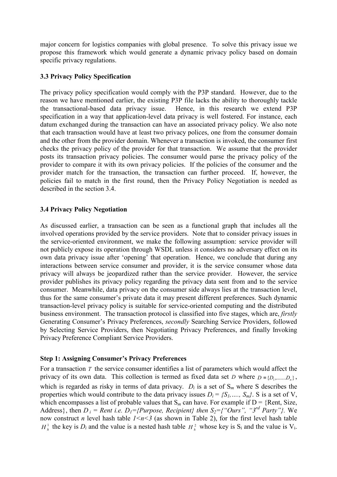major concern for logistics companies with global presence. To solve this privacy issue we propose this framework which would generate a dynamic privacy policy based on domain specific privacy regulations.

### **3.3 Privacy Policy Specification**

The privacy policy specification would comply with the P3P standard. However, due to the reason we have mentioned earlier, the existing P3P file lacks the ability to thoroughly tackle the transactional-based data privacy issue. Hence, in this research we extend P3P specification in a way that application-level data privacy is well fostered. For instance, each datum exchanged during the transaction can have an associated privacy policy. We also note that each transaction would have at least two privacy polices, one from the consumer domain and the other from the provider domain. Whenever a transaction is invoked, the consumer first checks the privacy policy of the provider for that transaction. We assume that the provider posts its transaction privacy policies. The consumer would parse the privacy policy of the provider to compare it with its own privacy policies. If the policies of the consumer and the provider match for the transaction, the transaction can further proceed. If, however, the policies fail to match in the first round, then the Privacy Policy Negotiation is needed as described in the section 3.4.

### **3.4 Privacy Policy Negotiation**

As discussed earlier, a transaction can be seen as a functional graph that includes all the involved operations provided by the service providers. Note that to consider privacy issues in the service-oriented environment, we make the following assumption: service provider will not publicly expose its operation through WSDL unless it considers no adversary effect on its own data privacy issue after 'opening' that operation. Hence, we conclude that during any interactions between service consumer and provider, it is the service consumer whose data privacy will always be jeopardized rather than the service provider. However, the service provider publishes its privacy policy regarding the privacy data sent from and to the service consumer. Meanwhile, data privacy on the consumer side always lies at the transaction level, thus for the same consumer's private data it may present different preferences. Such dynamic transaction-level privacy policy is suitable for service-oriented computing and the distributed business environment. The transaction protocol is classified into five stages, which are, *firstly*  Generating Consumer's Privacy Preferences, *secondly* Searching Service Providers, followed by Selecting Service Providers, then Negotiating Privacy Preferences, and finally Invoking Privacy Preference Compliant Service Providers.

#### **Step 1: Assigning Consumer's Privacy Preferences**

For a transaction *T* the service consumer identifies a list of parameters which would affect the privacy of its own data. This collection is termed as fixed data set *D* where  $D = \{D_1, \dots, D_n\}$ , which is regarded as risky in terms of data privacy.  $D_i$  is a set of  $S_m$  where S describes the properties which would contribute to the data privacy issues  $D_i = \{S_1, ..., S_m\}$ . S is a set of V, which encompasses a list of probable values that  $S_m$  can have. For example if  $D = \{Rent, Size,$ Address}, then  $D_i$  = Rent i.e.  $D_i$ ={Purpose, Recipient} then  $S_2$ ={"Ours", "3<sup>rd</sup> Party"}. We now construct *n* level hash table  $1 \le n \le 3$  (as shown in Table 2), for the first level hash table  $H_h^1$  the key is  $D_i$  and the value is a nested hash table  $H_h^2$  whose key is  $S_i$  and the value is  $V_i$ .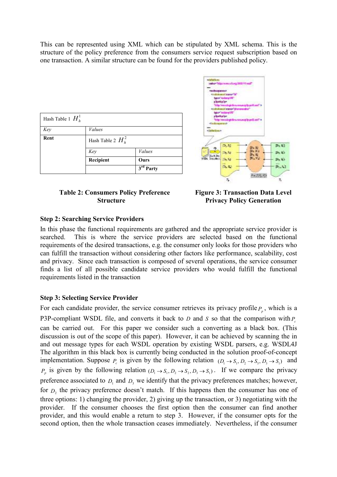This can be represented using XML which can be stipulated by XML schema. This is the structure of the policy preference from the consumers service request subscription based on one transaction. A similar structure can be found for the providers published policy.

| Hash Table 1 $H_h^1$ |                      |                       |
|----------------------|----------------------|-----------------------|
| Key                  | <b>Values</b>        |                       |
| Rent                 | Hash Table 2 $H_h^2$ |                       |
|                      | Key                  | <b>Values</b>         |
|                      | Recipient            | Ours                  |
|                      |                      | 3 <sup>rd</sup> Party |



#### **Table 2: Consumers Policy Preference Structure**

**Figure 3: Transaction Data Level Privacy Policy Generation**

#### **Step 2: Searching Service Providers**

In this phase the functional requirements are gathered and the appropriate service provider is searched. This is where the service providers are selected based on the functional requirements of the desired transactions, e.g. the consumer only looks for those providers who can fulfill the transaction without considering other factors like performance, scalability, cost and privacy. Since each transaction is composed of several operations, the service consumer finds a list of all possible candidate service providers who would fulfill the functional requirements listed in the transaction

#### **Step 3: Selecting Service Provider**

For each candidate provider, the service consumer retrieves its privacy profile  $P_p$ , which is a P3P-compliant WSDL file, and converts it back to  $D$  and  $S$  so that the comparison with  $P_c$ can be carried out. For this paper we consider such a converting as a black box. (This discussion is out of the scope of this paper). However, it can be achieved by scanning the in and out message types for each WSDL operation by existing WSDL parsers, e.g. WSDL4J The algorithm in this black box is currently being conducted in the solution proof-of-concept implementation. Suppose  $P_c$  is given by the following relation  $(D_1 \rightarrow S_1, D_2 \rightarrow S_5, D_3 \rightarrow S_1)$  and  $P_p$  is given by the following relation  $(D_1 \rightarrow S_1, D_2 \rightarrow S_2, D_3 \rightarrow S_1)$ . If we compare the privacy preference associated to  $D_1$  and  $D_3$  we identify that the privacy preferences matches; however, for  $D_2$  the privacy preference doesn't match. If this happens then the consumer has one of three options: 1) changing the provider, 2) giving up the transaction, or 3) negotiating with the provider. If the consumer chooses the first option then the consumer can find another provider, and this would enable a return to step 3. However, if the consumer opts for the second option, then the whole transaction ceases immediately. Nevertheless, if the consumer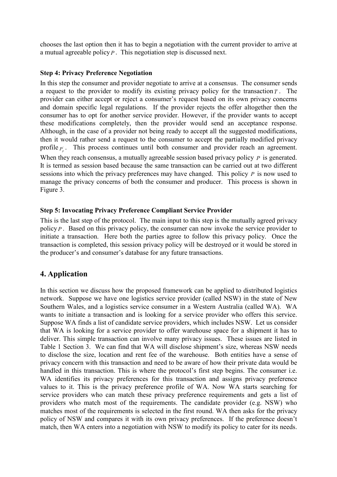chooses the last option then it has to begin a negotiation with the current provider to arrive at a mutual agreeable policy *P* . This negotiation step is discussed next.

#### **Step 4: Privacy Preference Negotiation**

In this step the consumer and provider negotiate to arrive at a consensus. The consumer sends a request to the provider to modify its existing privacy policy for the transaction*T* . The provider can either accept or reject a consumer's request based on its own privacy concerns and domain specific legal regulations. If the provider rejects the offer altogether then the consumer has to opt for another service provider. However, if the provider wants to accept these modifications completely, then the provider would send an acceptance response. Although, in the case of a provider not being ready to accept all the suggested modifications, then it would rather send a request to the consumer to accept the partially modified privacy profile  $\vec{p}$ . This process continues until both consumer and provider reach an agreement. When they reach consensus, a mutually agreeable session based privacy policy *P* is generated. It is termed as session based because the same transaction can be carried out at two different sessions into which the privacy preferences may have changed. This policy *P* is now used to manage the privacy concerns of both the consumer and producer. This process is shown in Figure 3.

#### **Step 5: Invocating Privacy Preference Compliant Service Provider**

This is the last step of the protocol. The main input to this step is the mutually agreed privacy policy *P*. Based on this privacy policy, the consumer can now invoke the service provider to initiate a transaction. Here both the parties agree to follow this privacy policy. Once the transaction is completed, this session privacy policy will be destroyed or it would be stored in the producer's and consumer's database for any future transactions.

# **4. Application**

In this section we discuss how the proposed framework can be applied to distributed logistics network. Suppose we have one logistics service provider (called NSW) in the state of New Southern Wales, and a logistics service consumer in a Western Australia (called WA). WA wants to initiate a transaction and is looking for a service provider who offers this service. Suppose WA finds a list of candidate service providers, which includes NSW. Let us consider that WA is looking for a service provider to offer warehouse space for a shipment it has to deliver. This simple transaction can involve many privacy issues. These issues are listed in Table 1 Section 3. We can find that WA will disclose shipment's size, whereas NSW needs to disclose the size, location and rent fee of the warehouse. Both entities have a sense of privacy concern with this transaction and need to be aware of how their private data would be handled in this transaction. This is where the protocol's first step begins. The consumer i.e. WA identifies its privacy preferences for this transaction and assigns privacy preference values to it. This is the privacy preference profile of WA. Now WA starts searching for service providers who can match these privacy preference requirements and gets a list of providers who match most of the requirements. The candidate provider (e.g. NSW) who matches most of the requirements is selected in the first round. WA then asks for the privacy policy of NSW and compares it with its own privacy preferences. If the preference doesn't match, then WA enters into a negotiation with NSW to modify its policy to cater for its needs.